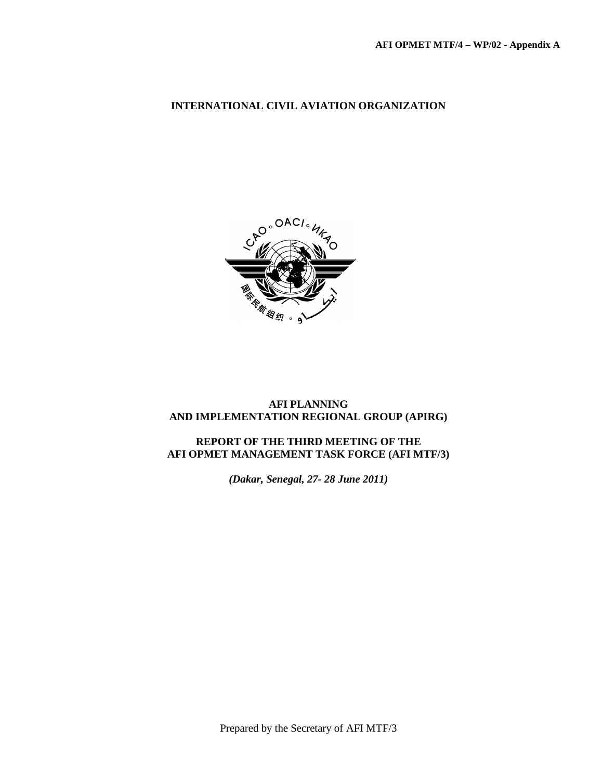# **INTERNATIONAL CIVIL AVIATION ORGANIZATION**



#### **AFI PLANNING AND IMPLEMENTATION REGIONAL GROUP (APIRG)**

# **REPORT OF THE THIRD MEETING OF THE AFI OPMET MANAGEMENT TASK FORCE (AFI MTF/3)**

*(Dakar, Senegal, 27- 28 June 2011)*

Prepared by the Secretary of AFI MTF/3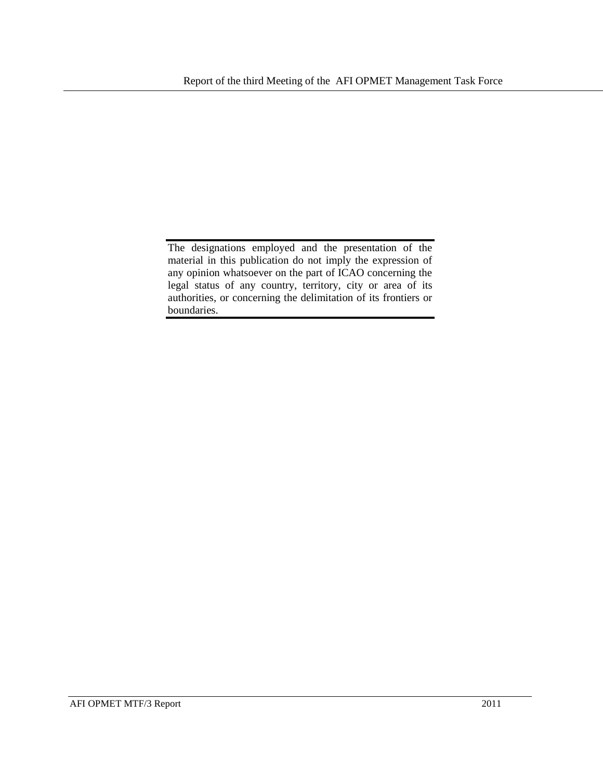The designations employed and the presentation of the material in this publication do not imply the expression of any opinion whatsoever on the part of ICAO concerning the legal status of any country, territory, city or area of its authorities, or concerning the delimitation of its frontiers or boundaries.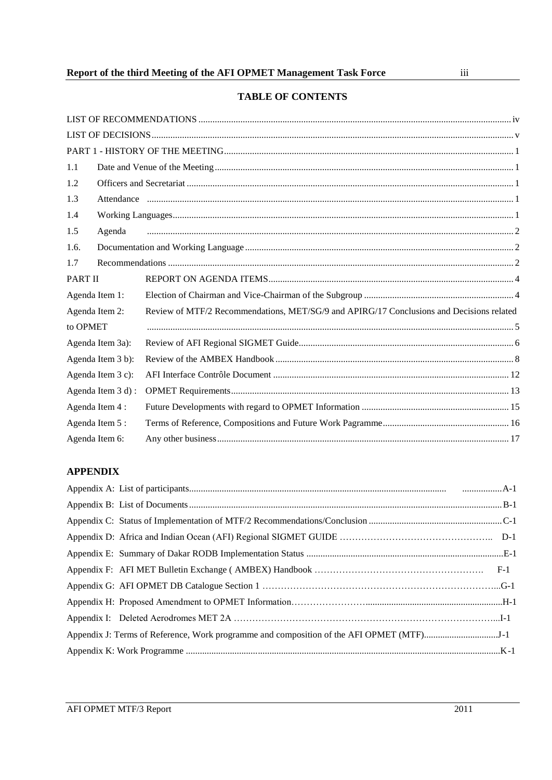# **TABLE OF CONTENTS**

| 1.1               |        |                                                                                                                                                                                                                                                                                                                                                                                                                                                           |  |  |
|-------------------|--------|-----------------------------------------------------------------------------------------------------------------------------------------------------------------------------------------------------------------------------------------------------------------------------------------------------------------------------------------------------------------------------------------------------------------------------------------------------------|--|--|
| 1.2               |        |                                                                                                                                                                                                                                                                                                                                                                                                                                                           |  |  |
| 1.3               |        |                                                                                                                                                                                                                                                                                                                                                                                                                                                           |  |  |
| 1.4               |        | $\textbf{Working Languages.}\label{def:1} \vspace{-0.1cm} \begin{minipage}[t]{0.9\linewidth} \vspace{-0.1cm} \begin{minipage}[t]{0.9\linewidth} \vspace{-0.1cm} \begin{minipage}[t]{0.9\linewidth} \vspace{-0.1cm} \begin{minipage}[t]{0.9\linewidth} \vspace{-0.1cm} \vspace{-0.1cm} \vspace{-0.1cm} \vspace{-0.1cm} \vspace{-0.1cm} \vspace{-0.1cm} \vspace{-0.1cm} \vspace{-0.1cm} \vspace{-0.1cm} \vspace{-0.1cm} \vspace{-0.1cm} \vspace{-0.1cm} \v$ |  |  |
| 1.5               | Agenda |                                                                                                                                                                                                                                                                                                                                                                                                                                                           |  |  |
| 1.6.              |        |                                                                                                                                                                                                                                                                                                                                                                                                                                                           |  |  |
| 1.7               |        |                                                                                                                                                                                                                                                                                                                                                                                                                                                           |  |  |
| <b>PART II</b>    |        |                                                                                                                                                                                                                                                                                                                                                                                                                                                           |  |  |
| Agenda Item 1:    |        |                                                                                                                                                                                                                                                                                                                                                                                                                                                           |  |  |
| Agenda Item 2:    |        | Review of MTF/2 Recommendations, MET/SG/9 and APIRG/17 Conclusions and Decisions related                                                                                                                                                                                                                                                                                                                                                                  |  |  |
| to OPMET          |        |                                                                                                                                                                                                                                                                                                                                                                                                                                                           |  |  |
| Agenda Item 3a):  |        |                                                                                                                                                                                                                                                                                                                                                                                                                                                           |  |  |
| Agenda Item 3 b): |        |                                                                                                                                                                                                                                                                                                                                                                                                                                                           |  |  |
| Agenda Item 3 c): |        |                                                                                                                                                                                                                                                                                                                                                                                                                                                           |  |  |
| Agenda Item 3 d): |        |                                                                                                                                                                                                                                                                                                                                                                                                                                                           |  |  |
| Agenda Item 4:    |        |                                                                                                                                                                                                                                                                                                                                                                                                                                                           |  |  |
| Agenda Item 5:    |        |                                                                                                                                                                                                                                                                                                                                                                                                                                                           |  |  |
| Agenda Item 6:    |        |                                                                                                                                                                                                                                                                                                                                                                                                                                                           |  |  |

# **APPENDIX**

| Appendix J: Terms of Reference, Work programme and composition of the AFI OPMET (MTF)J-1 |  |
|------------------------------------------------------------------------------------------|--|
|                                                                                          |  |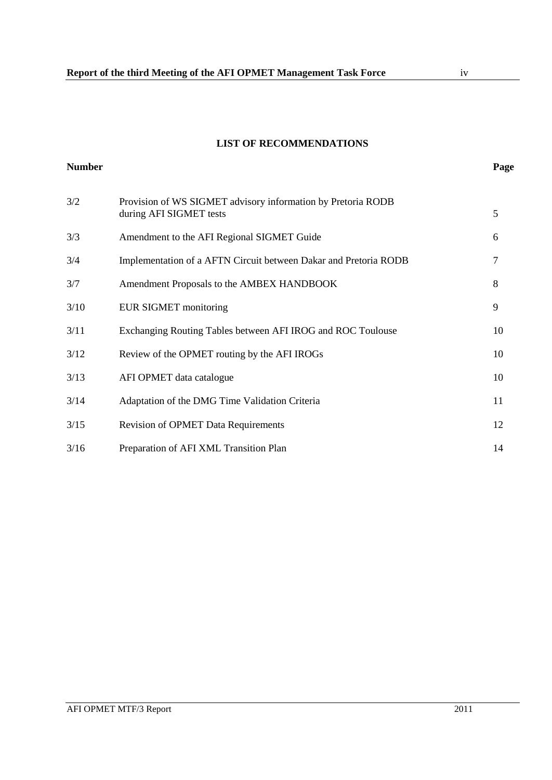#### **LIST OF RECOMMENDATIONS**

<span id="page-3-0"></span>

| <b>Number</b> |                                                                                         | Page |
|---------------|-----------------------------------------------------------------------------------------|------|
| 3/2           | Provision of WS SIGMET advisory information by Pretoria RODB<br>during AFI SIGMET tests | 5    |
| 3/3           | Amendment to the AFI Regional SIGMET Guide                                              | 6    |
| 3/4           | Implementation of a AFTN Circuit between Dakar and Pretoria RODB                        | 7    |
| 3/7           | Amendment Proposals to the AMBEX HANDBOOK                                               | 8    |
| 3/10          | <b>EUR SIGMET monitoring</b>                                                            | 9    |
| 3/11          | Exchanging Routing Tables between AFI IROG and ROC Toulouse                             | 10   |
| 3/12          | Review of the OPMET routing by the AFI IROGs                                            | 10   |
| 3/13          | AFI OPMET data catalogue                                                                | 10   |
| 3/14          | Adaptation of the DMG Time Validation Criteria                                          | 11   |
| 3/15          | <b>Revision of OPMET Data Requirements</b>                                              | 12   |
| 3/16          | Preparation of AFI XML Transition Plan                                                  | 14   |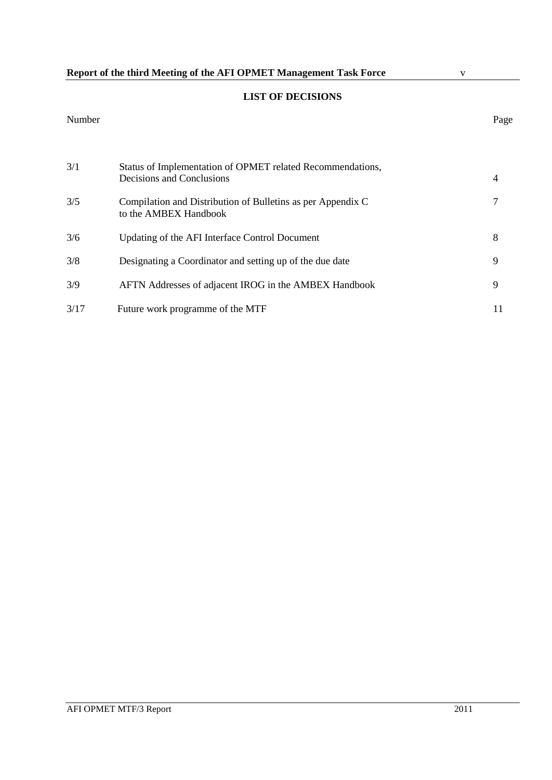| 3/6 | Undating of the AFI Interface Control Doc |
|-----|-------------------------------------------|

to the AMBEX Handbook

3/1 Status of Implementation of OPMET related Recommendations,

| 3/6  | Updating of the AFI Interface Control Document           |  |
|------|----------------------------------------------------------|--|
| 3/8  | Designating a Coordinator and setting up of the due date |  |
| 3/9  | AFTN Addresses of adjacent IROG in the AMBEX Handbook    |  |
| 3/17 | Future work programme of the MTF                         |  |

3/5 Compilation and Distribution of Bulletins as per Appendix C 7

# **LIST OF DECISIONS**

Decisions and Conclusions 4

Number Page

<span id="page-4-0"></span>**Report of the third Meeting of the AFI OPMET Management Task Force** v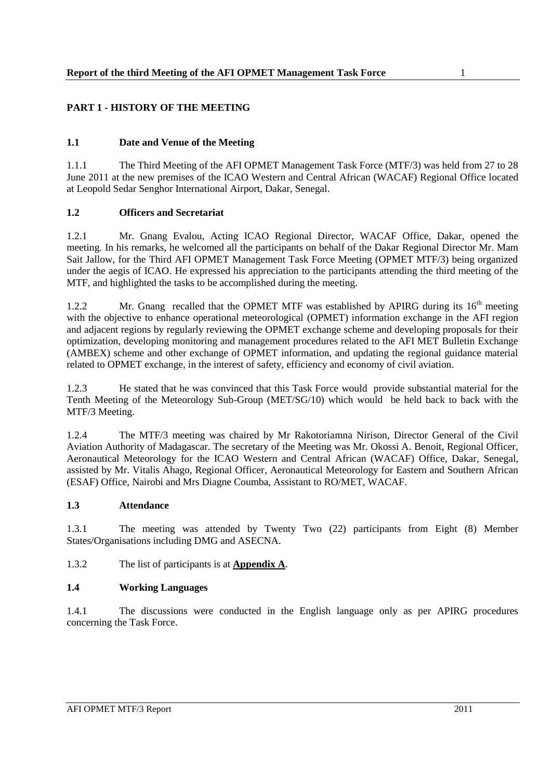# <span id="page-5-0"></span>**PART 1 - HISTORY OF THE MEETING**

## <span id="page-5-1"></span>**1.1 Date and Venue of the Meeting**

1.1.1 The Third Meeting of the AFI OPMET Management Task Force (MTF/3) was held from 27 to 28 June 2011 at the new premises of the ICAO Western and Central African (WACAF) Regional Office located at Leopold Sedar Senghor International Airport, Dakar, Senegal.

#### <span id="page-5-2"></span>**1.2 Officers and Secretariat**

1.2.1 Mr. Gnang Evalou, Acting ICAO Regional Director, WACAF Office, Dakar, opened the meeting. In his remarks, he welcomed all the participants on behalf of the Dakar Regional Director Mr. Mam Sait Jallow, for the Third AFI OPMET Management Task Force Meeting (OPMET MTF/3) being organized under the aegis of ICAO. He expressed his appreciation to the participants attending the third meeting of the MTF, and highlighted the tasks to be accomplished during the meeting.

1.2.2 Mr. Gnang recalled that the OPMET MTF was established by APIRG during its  $16<sup>th</sup>$  meeting with the objective to enhance operational meteorological (OPMET) information exchange in the AFI region and adjacent regions by regularly reviewing the OPMET exchange scheme and developing proposals for their optimization, developing monitoring and management procedures related to the AFI MET Bulletin Exchange (AMBEX) scheme and other exchange of OPMET information, and updating the regional guidance material related to OPMET exchange, in the interest of safety, efficiency and economy of civil aviation.

1.2.3 He stated that he was convinced that this Task Force would provide substantial material for the Tenth Meeting of the Meteorology Sub-Group (MET/SG/10) which would be held back to back with the MTF/3 Meeting.

1.2.4 The MTF/3 meeting was chaired by Mr Rakotoriamna Nirison, Director General of the Civil Aviation Authority of Madagascar. The secretary of the Meeting was Mr. Okossi A. Benoit, Regional Officer, Aeronautical Meteorology for the ICAO Western and Central African (WACAF) Office, Dakar, Senegal, assisted by Mr. Vitalis Ahago, Regional Officer, Aeronautical Meteorology for Eastern and Southern African (ESAF) Office, Nairobi and Mrs Diagne Coumba, Assistant to RO/MET, WACAF.

#### <span id="page-5-3"></span>**1.3 Attendance**

1.3.1 The meeting was attended by Twenty Two (22) participants from Eight (8) Member States/Organisations including DMG and ASECNA.

#### 1.3.2 The list of participants is at **Appendix A**.

#### <span id="page-5-4"></span>**1.4 Working Languages**

1.4.1 The discussions were conducted in the English language only as per APIRG procedures concerning the Task Force.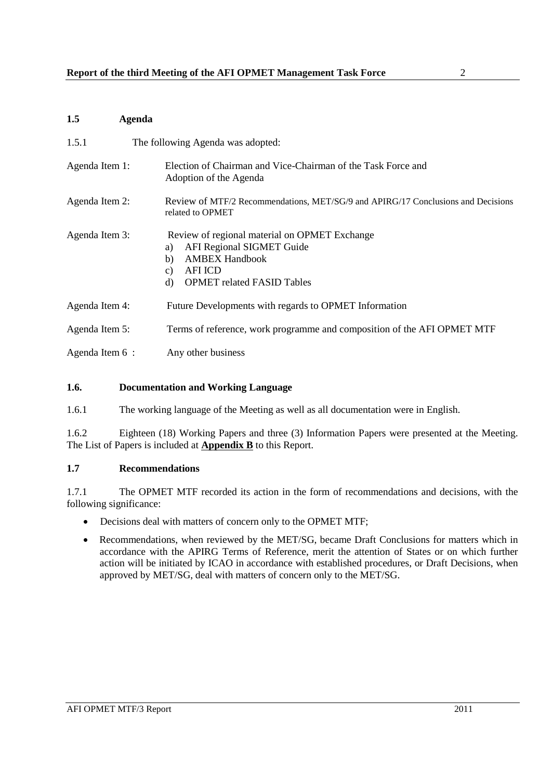## <span id="page-6-0"></span>**1.5 Agenda**

| 1.5.1           | The following Agenda was adopted:                                                                                                                                                  |
|-----------------|------------------------------------------------------------------------------------------------------------------------------------------------------------------------------------|
| Agenda Item 1:  | Election of Chairman and Vice-Chairman of the Task Force and<br>Adoption of the Agenda                                                                                             |
| Agenda Item 2:  | Review of MTF/2 Recommendations, MET/SG/9 and APIRG/17 Conclusions and Decisions<br>related to OPMET                                                                               |
| Agenda Item 3:  | Review of regional material on OPMET Exchange<br>AFI Regional SIGMET Guide<br>a)<br><b>AMBEX Handbook</b><br>b)<br><b>AFI ICD</b><br>C)<br><b>OPMET</b> related FASID Tables<br>d) |
| Agenda Item 4:  | Future Developments with regards to OPMET Information                                                                                                                              |
| Agenda Item 5:  | Terms of reference, work programme and composition of the AFI OPMET MTF                                                                                                            |
| Agenda Item 6 : | Any other business                                                                                                                                                                 |

# <span id="page-6-1"></span>**1.6. Documentation and Working Language**

1.6.1 The working language of the Meeting as well as all documentation were in English.

1.6.2 Eighteen (18) Working Papers and three (3) Information Papers were presented at the Meeting. The List of Papers is included at **Appendix B** to this Report.

#### <span id="page-6-2"></span>**1.7 Recommendations**

1.7.1 The OPMET MTF recorded its action in the form of recommendations and decisions, with the following significance:

- Decisions deal with matters of concern only to the OPMET MTF;
- Recommendations, when reviewed by the MET/SG, became Draft Conclusions for matters which in accordance with the APIRG Terms of Reference, merit the attention of States or on which further action will be initiated by ICAO in accordance with established procedures, or Draft Decisions, when approved by MET/SG, deal with matters of concern only to the MET/SG.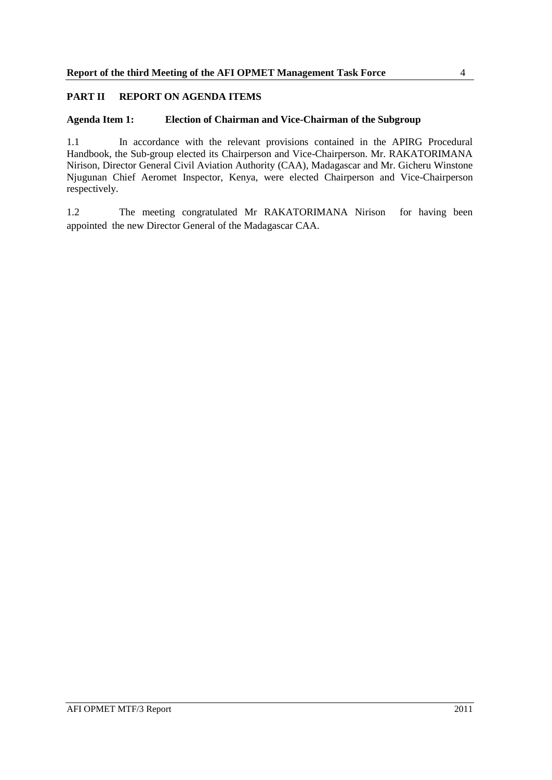# <span id="page-8-0"></span>**PART II REPORT ON AGENDA ITEMS**

#### <span id="page-8-1"></span>**Agenda Item 1: Election of Chairman and Vice-Chairman of the Subgroup**

1.1 In accordance with the relevant provisions contained in the APIRG Procedural Handbook, the Sub-group elected its Chairperson and Vice-Chairperson. Mr. RAKATORIMANA Nirison, Director General Civil Aviation Authority (CAA), Madagascar and Mr. Gicheru Winstone Njugunan Chief Aeromet Inspector, Kenya, were elected Chairperson and Vice-Chairperson respectively.

1.2 The meeting congratulated Mr RAKATORIMANA Nirison for having been appointed the new Director General of the Madagascar CAA.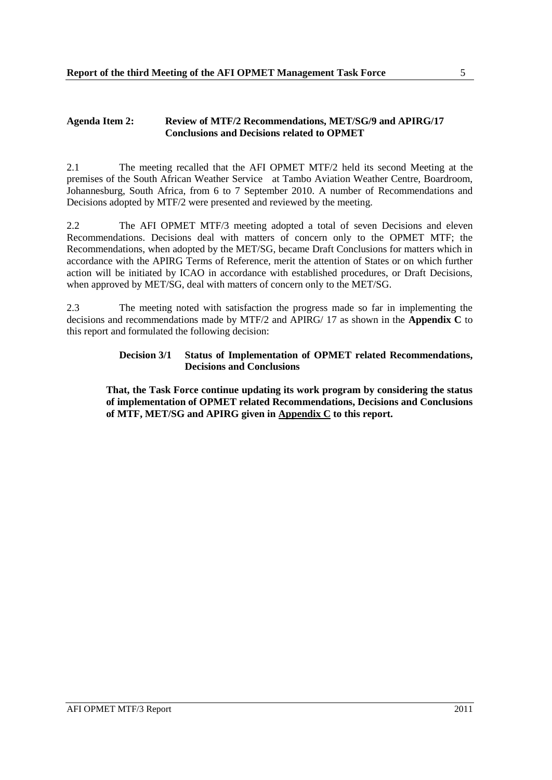#### <span id="page-9-0"></span>**Agenda Item 2: Review of MTF/2 Recommendations, MET/SG/9 and APIRG/17 Conclusions and Decisions related to OPMET**

2.1 The meeting recalled that the AFI OPMET MTF/2 held its second Meeting at the premises of the South African Weather Service at Tambo Aviation Weather Centre, Boardroom, Johannesburg, South Africa, from 6 to 7 September 2010. A number of Recommendations and Decisions adopted by MTF/2 were presented and reviewed by the meeting.

2.2 The AFI OPMET MTF/3 meeting adopted a total of seven Decisions and eleven Recommendations. Decisions deal with matters of concern only to the OPMET MTF; the Recommendations, when adopted by the MET/SG, became Draft Conclusions for matters which in accordance with the APIRG Terms of Reference, merit the attention of States or on which further action will be initiated by ICAO in accordance with established procedures, or Draft Decisions, when approved by MET/SG, deal with matters of concern only to the MET/SG.

2.3 The meeting noted with satisfaction the progress made so far in implementing the decisions and recommendations made by MTF/2 and APIRG/ 17 as shown in the **Appendix C** to this report and formulated the following decision:

#### **Decision 3/1 Status of Implementation of OPMET related Recommendations, Decisions and Conclusions**

**That, the Task Force continue updating its work program by considering the status of implementation of OPMET related Recommendations, Decisions and Conclusions of MTF, MET/SG and APIRG given in Appendix C to this report.**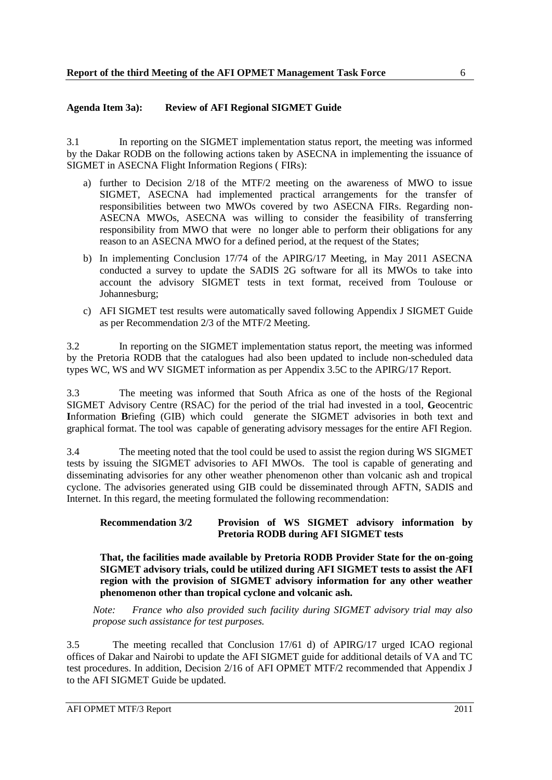## <span id="page-10-0"></span>**Agenda Item 3a): Review of AFI Regional SIGMET Guide**

3.1 In reporting on the SIGMET implementation status report, the meeting was informed by the Dakar RODB on the following actions taken by ASECNA in implementing the issuance of SIGMET in ASECNA Flight Information Regions ( FIRs):

- a) further to Decision 2/18 of the MTF/2 meeting on the awareness of MWO to issue SIGMET, ASECNA had implemented practical arrangements for the transfer of responsibilities between two MWOs covered by two ASECNA FIRs. Regarding non-ASECNA MWOs, ASECNA was willing to consider the feasibility of transferring responsibility from MWO that were no longer able to perform their obligations for any reason to an ASECNA MWO for a defined period, at the request of the States;
- b) In implementing Conclusion 17/74 of the APIRG/17 Meeting, in May 2011 ASECNA conducted a survey to update the SADIS 2G software for all its MWOs to take into account the advisory SIGMET tests in text format, received from Toulouse or Johannesburg;
- c) AFI SIGMET test results were automatically saved following Appendix J SIGMET Guide as per Recommendation 2/3 of the MTF/2 Meeting.

3.2 In reporting on the SIGMET implementation status report, the meeting was informed by the Pretoria RODB that the catalogues had also been updated to include non-scheduled data types WC, WS and WV SIGMET information as per Appendix 3.5C to the APIRG/17 Report.

3.3 The meeting was informed that South Africa as one of the hosts of the Regional SIGMET Advisory Centre (RSAC) for the period of the trial had invested in a tool, **G**eocentric **I**nformation **B**riefing (GIB) which could generate the SIGMET advisories in both text and graphical format. The tool was capable of generating advisory messages for the entire AFI Region.

3.4 The meeting noted that the tool could be used to assist the region during WS SIGMET tests by issuing the SIGMET advisories to AFI MWOs. The tool is capable of generating and disseminating advisories for any other weather phenomenon other than volcanic ash and tropical cyclone. The advisories generated using GIB could be disseminated through AFTN, SADIS and Internet. In this regard, the meeting formulated the following recommendation:

#### **Recommendation 3/2 Provision of WS SIGMET advisory information by Pretoria RODB during AFI SIGMET tests**

**That, the facilities made available by Pretoria RODB Provider State for the on-going SIGMET advisory trials, could be utilized during AFI SIGMET tests to assist the AFI region with the provision of SIGMET advisory information for any other weather phenomenon other than tropical cyclone and volcanic ash.**

*Note: France who also provided such facility during SIGMET advisory trial may also propose such assistance for test purposes.*

3.5 The meeting recalled that Conclusion 17/61 d) of APIRG/17 urged ICAO regional offices of Dakar and Nairobi to update the AFI SIGMET guide for additional details of VA and TC test procedures. In addition, Decision 2/16 of AFI OPMET MTF/2 recommended that Appendix J to the AFI SIGMET Guide be updated.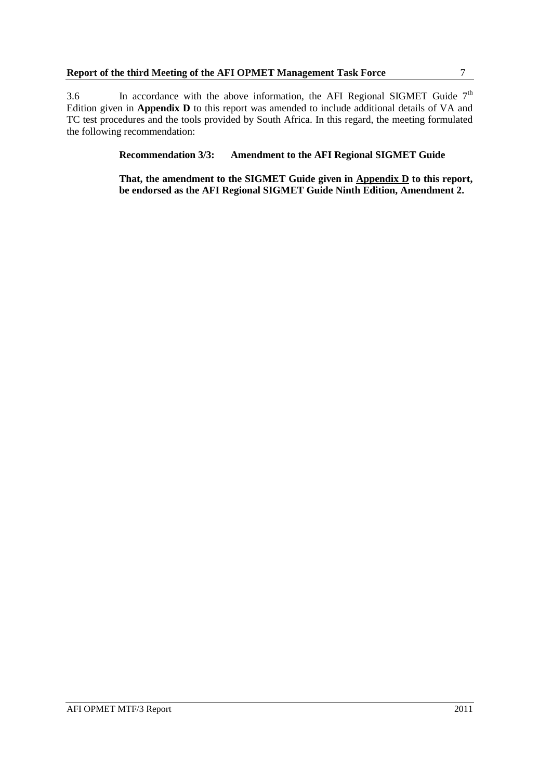3.6 In accordance with the above information, the AFI Regional SIGMET Guide  $7<sup>th</sup>$ Edition given in **Appendix D** to this report was amended to include additional details of VA and TC test procedures and the tools provided by South Africa. In this regard, the meeting formulated the following recommendation:

# **Recommendation 3/3: Amendment to the AFI Regional SIGMET Guide**

**That, the amendment to the SIGMET Guide given in Appendix D to this report, be endorsed as the AFI Regional SIGMET Guide Ninth Edition, Amendment 2.**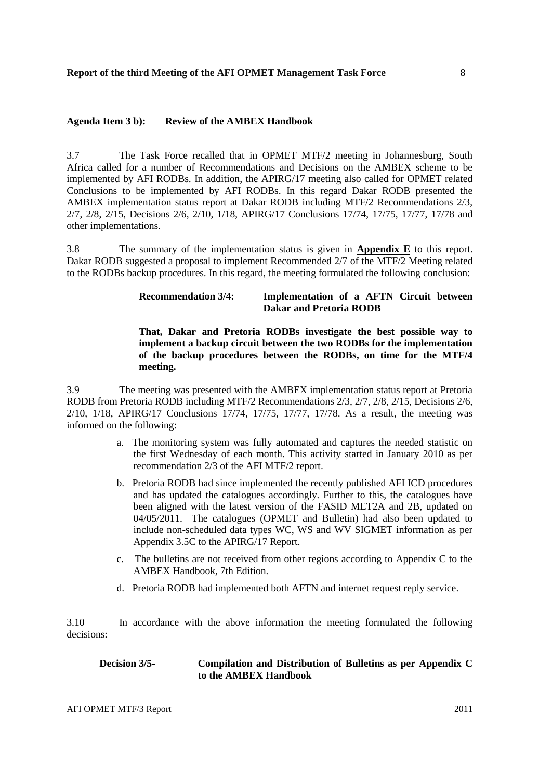## <span id="page-12-0"></span>**Agenda Item 3 b): Review of the AMBEX Handbook**

3.7 The Task Force recalled that in OPMET MTF/2 meeting in Johannesburg, South Africa called for a number of Recommendations and Decisions on the AMBEX scheme to be implemented by AFI RODBs. In addition, the APIRG/17 meeting also called for OPMET related Conclusions to be implemented by AFI RODBs. In this regard Dakar RODB presented the AMBEX implementation status report at Dakar RODB including MTF/2 Recommendations 2/3, 2/7, 2/8, 2/15, Decisions 2/6, 2/10, 1/18, APIRG/17 Conclusions 17/74, 17/75, 17/77, 17/78 and other implementations.

3.8 The summary of the implementation status is given in **Appendix E** to this report. Dakar RODB suggested a proposal to implement Recommended 2/7 of the MTF/2 Meeting related to the RODBs backup procedures. In this regard, the meeting formulated the following conclusion:

#### **Recommendation 3/4: Implementation of a AFTN Circuit between Dakar and Pretoria RODB**

**That, Dakar and Pretoria RODBs investigate the best possible way to implement a backup circuit between the two RODBs for the implementation of the backup procedures between the RODBs, on time for the MTF/4 meeting.**

3.9 The meeting was presented with the AMBEX implementation status report at Pretoria RODB from Pretoria RODB including MTF/2 Recommendations 2/3, 2/7, 2/8, 2/15, Decisions 2/6, 2/10, 1/18, APIRG/17 Conclusions 17/74, 17/75, 17/77, 17/78. As a result, the meeting was informed on the following:

- a. The monitoring system was fully automated and captures the needed statistic on the first Wednesday of each month. This activity started in January 2010 as per recommendation 2/3 of the AFI MTF/2 report.
- b. Pretoria RODB had since implemented the recently published AFI ICD procedures and has updated the catalogues accordingly. Further to this, the catalogues have been aligned with the latest version of the FASID MET2A and 2B, updated on 04/05/2011. The catalogues (OPMET and Bulletin) had also been updated to include non-scheduled data types WC, WS and WV SIGMET information as per Appendix 3.5C to the APIRG/17 Report.
- c. The bulletins are not received from other regions according to Appendix C to the AMBEX Handbook, 7th Edition.
- d. Pretoria RODB had implemented both AFTN and internet request reply service.

3.10 In accordance with the above information the meeting formulated the following decisions:

#### **Decision 3/5- Compilation and Distribution of Bulletins as per Appendix C to the AMBEX Handbook**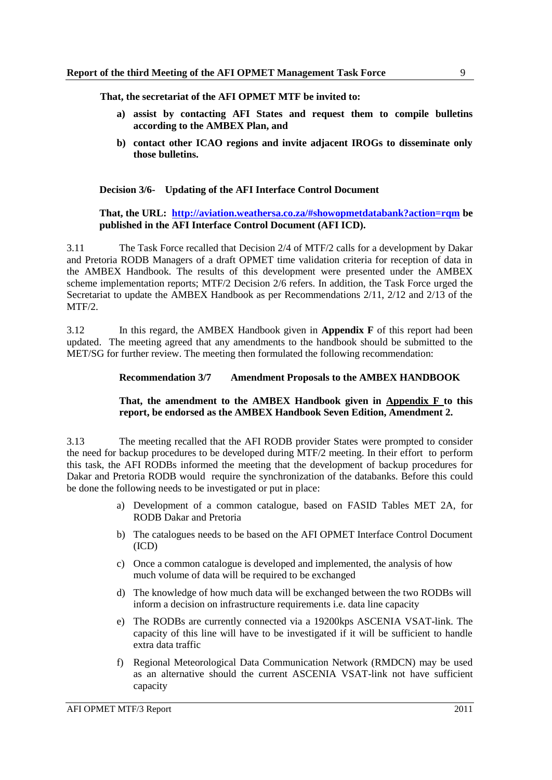**That, the secretariat of the AFI OPMET MTF be invited to:** 

- **a) assist by contacting AFI States and request them to compile bulletins according to the AMBEX Plan, and**
- **b) contact other ICAO regions and invite adjacent IROGs to disseminate only those bulletins.**

#### **Decision 3/6- Updating of the AFI Interface Control Document**

#### **That, the URL: <http://aviation.weathersa.co.za/#showopmetdatabank?action=rqm> be published in the AFI Interface Control Document (AFI ICD).**

3.11 The Task Force recalled that Decision 2/4 of MTF/2 calls for a development by Dakar and Pretoria RODB Managers of a draft OPMET time validation criteria for reception of data in the AMBEX Handbook. The results of this development were presented under the AMBEX scheme implementation reports; MTF/2 Decision 2/6 refers. In addition, the Task Force urged the Secretariat to update the AMBEX Handbook as per Recommendations 2/11, 2/12 and 2/13 of the MTF/2.

3.12 In this regard, the AMBEX Handbook given in **Appendix F** of this report had been updated. The meeting agreed that any amendments to the handbook should be submitted to the MET/SG for further review. The meeting then formulated the following recommendation:

#### **Recommendation 3/7 Amendment Proposals to the AMBEX HANDBOOK**

#### **That, the amendment to the AMBEX Handbook given in Appendix F to this report, be endorsed as the AMBEX Handbook Seven Edition, Amendment 2.**

3.13 The meeting recalled that the AFI RODB provider States were prompted to consider the need for backup procedures to be developed during MTF/2 meeting. In their effort to perform this task, the AFI RODBs informed the meeting that the development of backup procedures for Dakar and Pretoria RODB would require the synchronization of the databanks. Before this could be done the following needs to be investigated or put in place:

- a) Development of a common catalogue, based on FASID Tables MET 2A, for RODB Dakar and Pretoria
- b) The catalogues needs to be based on the AFI OPMET Interface Control Document (ICD)
- c) Once a common catalogue is developed and implemented, the analysis of how much volume of data will be required to be exchanged
- d) The knowledge of how much data will be exchanged between the two RODBs will inform a decision on infrastructure requirements i.e. data line capacity
- e) The RODBs are currently connected via a 19200kps ASCENIA VSAT-link. The capacity of this line will have to be investigated if it will be sufficient to handle extra data traffic
- f) Regional Meteorological Data Communication Network (RMDCN) may be used as an alternative should the current ASCENIA VSAT-link not have sufficient capacity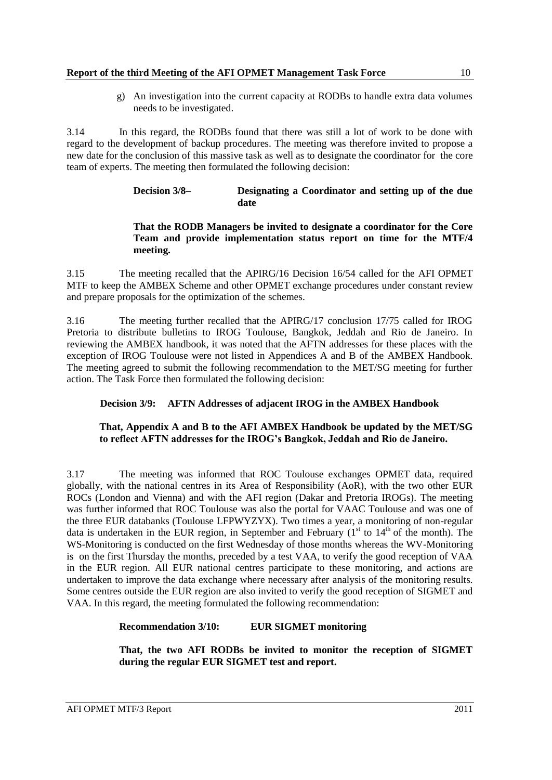#### **Report of the third Meeting of the AFI OPMET Management Task Force** 10

g) An investigation into the current capacity at RODBs to handle extra data volumes needs to be investigated.

3.14 In this regard, the RODBs found that there was still a lot of work to be done with regard to the development of backup procedures. The meeting was therefore invited to propose a new date for the conclusion of this massive task as well as to designate the coordinator for the core team of experts. The meeting then formulated the following decision:

#### **Decision 3/8– Designating a Coordinator and setting up of the due date**

#### **That the RODB Managers be invited to designate a coordinator for the Core Team and provide implementation status report on time for the MTF/4 meeting.**

3.15 The meeting recalled that the APIRG/16 Decision 16/54 called for the AFI OPMET MTF to keep the AMBEX Scheme and other OPMET exchange procedures under constant review and prepare proposals for the optimization of the schemes.

3.16 The meeting further recalled that the APIRG/17 conclusion 17/75 called for IROG Pretoria to distribute bulletins to IROG Toulouse, Bangkok, Jeddah and Rio de Janeiro. In reviewing the AMBEX handbook, it was noted that the AFTN addresses for these places with the exception of IROG Toulouse were not listed in Appendices A and B of the AMBEX Handbook. The meeting agreed to submit the following recommendation to the MET/SG meeting for further action. The Task Force then formulated the following decision:

# **Decision 3/9: AFTN Addresses of adjacent IROG in the AMBEX Handbook**

# **That, Appendix A and B to the AFI AMBEX Handbook be updated by the MET/SG to reflect AFTN addresses for the IROG's Bangkok, Jeddah and Rio de Janeiro.**

3.17 The meeting was informed that ROC Toulouse exchanges OPMET data, required globally, with the national centres in its Area of Responsibility (AoR), with the two other EUR ROCs (London and Vienna) and with the AFI region (Dakar and Pretoria IROGs). The meeting was further informed that ROC Toulouse was also the portal for VAAC Toulouse and was one of the three EUR databanks (Toulouse LFPWYZYX). Two times a year, a monitoring of non-regular data is undertaken in the EUR region, in September and February  $(1<sup>st</sup>$  to  $14<sup>th</sup>$  of the month). The WS-Monitoring is conducted on the first Wednesday of those months whereas the WV-Monitoring is on the first Thursday the months, preceded by a test VAA, to verify the good reception of VAA in the EUR region. All EUR national centres participate to these monitoring, and actions are undertaken to improve the data exchange where necessary after analysis of the monitoring results. Some centres outside the EUR region are also invited to verify the good reception of SIGMET and VAA. In this regard, the meeting formulated the following recommendation:

# **Recommendation 3/10: EUR SIGMET monitoring**

**That, the two AFI RODBs be invited to monitor the reception of SIGMET during the regular EUR SIGMET test and report.**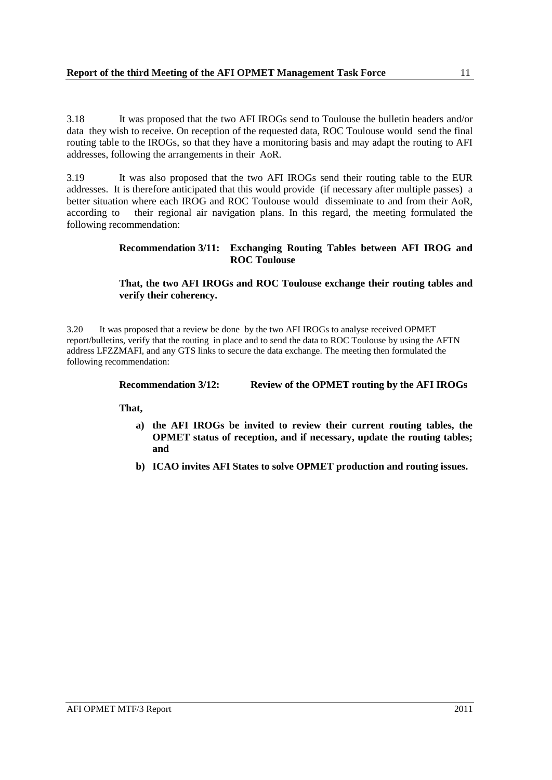3.18 It was proposed that the two AFI IROGs send to Toulouse the bulletin headers and/or data they wish to receive. On reception of the requested data, ROC Toulouse would send the final routing table to the IROGs, so that they have a monitoring basis and may adapt the routing to AFI addresses, following the arrangements in their AoR.

3.19 It was also proposed that the two AFI IROGs send their routing table to the EUR addresses. It is therefore anticipated that this would provide (if necessary after multiple passes) a better situation where each IROG and ROC Toulouse would disseminate to and from their AoR, according to their regional air navigation plans. In this regard, the meeting formulated the following recommendation:

#### **Recommendation 3/11: Exchanging Routing Tables between AFI IROG and ROC Toulouse**

## **That, the two AFI IROGs and ROC Toulouse exchange their routing tables and verify their coherency.**

3.20 It was proposed that a review be done by the two AFI IROGs to analyse received OPMET report/bulletins, verify that the routing in place and to send the data to ROC Toulouse by using the AFTN address LFZZMAFI, and any GTS links to secure the data exchange. The meeting then formulated the following recommendation:

#### **Recommendation 3/12: Review of the OPMET routing by the AFI IROGs**

**That,** 

- **a) the AFI IROGs be invited to review their current routing tables, the OPMET status of reception, and if necessary, update the routing tables; and**
- **b) ICAO invites AFI States to solve OPMET production and routing issues.**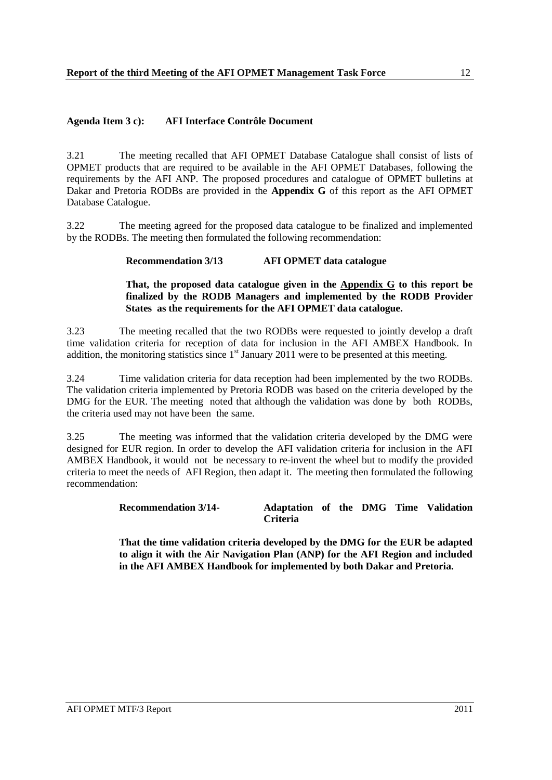#### <span id="page-16-0"></span>**Agenda Item 3 c): AFI Interface Contrôle Document**

3.21 The meeting recalled that AFI OPMET Database Catalogue shall consist of lists of OPMET products that are required to be available in the AFI OPMET Databases, following the requirements by the AFI ANP. The proposed procedures and catalogue of OPMET bulletins at Dakar and Pretoria RODBs are provided in the **Appendix G** of this report as the AFI OPMET Database Catalogue.

3.22 The meeting agreed for the proposed data catalogue to be finalized and implemented by the RODBs. The meeting then formulated the following recommendation:

#### **Recommendation 3/13 AFI OPMET data catalogue**

#### **That, the proposed data catalogue given in the Appendix G to this report be finalized by the RODB Managers and implemented by the RODB Provider States as the requirements for the AFI OPMET data catalogue.**

3.23 The meeting recalled that the two RODBs were requested to jointly develop a draft time validation criteria for reception of data for inclusion in the AFI AMBEX Handbook. In addition, the monitoring statistics since 1<sup>st</sup> January 2011 were to be presented at this meeting.

3.24 Time validation criteria for data reception had been implemented by the two RODBs. The validation criteria implemented by Pretoria RODB was based on the criteria developed by the DMG for the EUR. The meeting noted that although the validation was done by both RODBs, the criteria used may not have been the same.

3.25 The meeting was informed that the validation criteria developed by the DMG were designed for EUR region. In order to develop the AFI validation criteria for inclusion in the AFI AMBEX Handbook, it would not be necessary to re-invent the wheel but to modify the provided criteria to meet the needs of AFI Region, then adapt it. The meeting then formulated the following recommendation:

#### **Recommendation 3/14- Adaptation of the DMG Time Validation Criteria**

**That the time validation criteria developed by the DMG for the EUR be adapted to align it with the Air Navigation Plan (ANP) for the AFI Region and included in the AFI AMBEX Handbook for implemented by both Dakar and Pretoria.**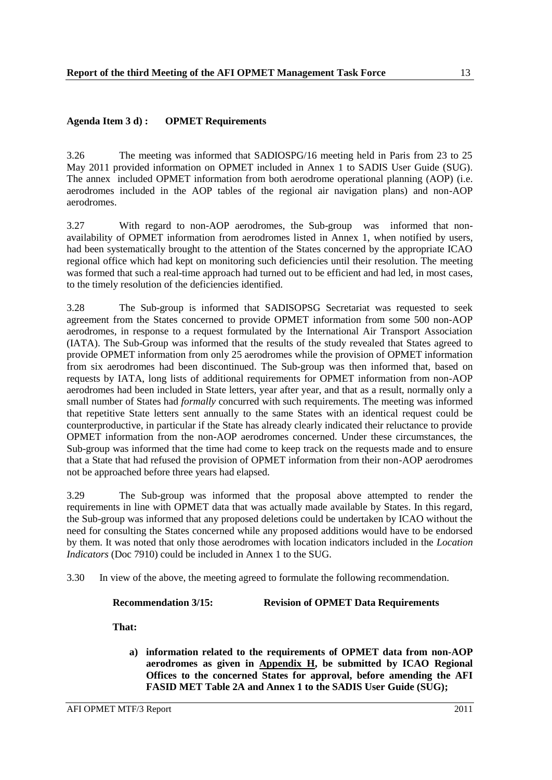# <span id="page-17-0"></span>**Agenda Item 3 d) : OPMET Requirements**

3.26 The meeting was informed that SADIOSPG/16 meeting held in Paris from 23 to 25 May 2011 provided information on OPMET included in Annex 1 to SADIS User Guide (SUG). The annex included OPMET information from both aerodrome operational planning (AOP) (i.e. aerodromes included in the AOP tables of the regional air navigation plans) and non-AOP aerodromes.

3.27 With regard to non-AOP aerodromes, the Sub-group was informed that nonavailability of OPMET information from aerodromes listed in Annex 1, when notified by users, had been systematically brought to the attention of the States concerned by the appropriate ICAO regional office which had kept on monitoring such deficiencies until their resolution. The meeting was formed that such a real-time approach had turned out to be efficient and had led, in most cases, to the timely resolution of the deficiencies identified.

3.28 The Sub-group is informed that SADISOPSG Secretariat was requested to seek agreement from the States concerned to provide OPMET information from some 500 non-AOP aerodromes, in response to a request formulated by the International Air Transport Association (IATA). The Sub-Group was informed that the results of the study revealed that States agreed to provide OPMET information from only 25 aerodromes while the provision of OPMET information from six aerodromes had been discontinued. The Sub-group was then informed that, based on requests by IATA, long lists of additional requirements for OPMET information from non-AOP aerodromes had been included in State letters, year after year, and that as a result, normally only a small number of States had *formally* concurred with such requirements. The meeting was informed that repetitive State letters sent annually to the same States with an identical request could be counterproductive, in particular if the State has already clearly indicated their reluctance to provide OPMET information from the non-AOP aerodromes concerned. Under these circumstances, the Sub-group was informed that the time had come to keep track on the requests made and to ensure that a State that had refused the provision of OPMET information from their non-AOP aerodromes not be approached before three years had elapsed.

3.29 The Sub-group was informed that the proposal above attempted to render the requirements in line with OPMET data that was actually made available by States. In this regard, the Sub-group was informed that any proposed deletions could be undertaken by ICAO without the need for consulting the States concerned while any proposed additions would have to be endorsed by them. It was noted that only those aerodromes with location indicators included in the *Location Indicators* (Doc 7910) could be included in Annex 1 to the SUG.

3.30 In view of the above, the meeting agreed to formulate the following recommendation.

#### **Recommendation 3/15: Revision of OPMET Data Requirements**

**That:**

**a) information related to the requirements of OPMET data from non-AOP aerodromes as given in Appendix H, be submitted by ICAO Regional Offices to the concerned States for approval, before amending the AFI FASID MET Table 2A and Annex 1 to the SADIS User Guide (SUG);**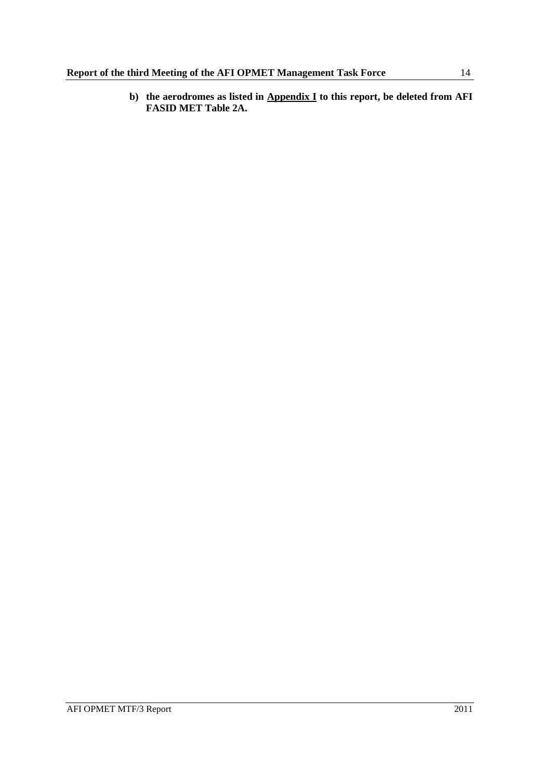**b) the aerodromes as listed in Appendix I to this report, be deleted from AFI FASID MET Table 2A.**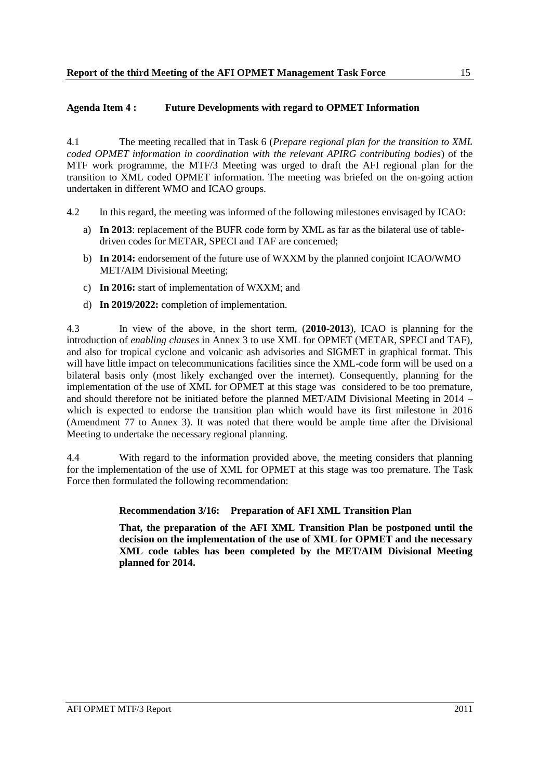# <span id="page-19-0"></span>**Agenda Item 4 : Future Developments with regard to OPMET Information**

4.1 The meeting recalled that in Task 6 (*Prepare regional plan for the transition to XML coded OPMET information in coordination with the relevant APIRG contributing bodies*) of the MTF work programme, the MTF/3 Meeting was urged to draft the AFI regional plan for the transition to XML coded OPMET information. The meeting was briefed on the on-going action undertaken in different WMO and ICAO groups.

- 4.2 In this regard, the meeting was informed of the following milestones envisaged by ICAO:
	- a) **In 2013**: replacement of the BUFR code form by XML as far as the bilateral use of tabledriven codes for METAR, SPECI and TAF are concerned;
	- b) **In 2014:** endorsement of the future use of WXXM by the planned conjoint ICAO/WMO MET/AIM Divisional Meeting;
	- c) **In 2016:** start of implementation of WXXM; and
	- d) **In 2019/2022:** completion of implementation.

4.3 In view of the above, in the short term, (**2010-2013**), ICAO is planning for the introduction of *enabling clauses* in Annex 3 to use XML for OPMET (METAR, SPECI and TAF), and also for tropical cyclone and volcanic ash advisories and SIGMET in graphical format. This will have little impact on telecommunications facilities since the XML-code form will be used on a bilateral basis only (most likely exchanged over the internet). Consequently, planning for the implementation of the use of XML for OPMET at this stage was considered to be too premature, and should therefore not be initiated before the planned MET/AIM Divisional Meeting in 2014 – which is expected to endorse the transition plan which would have its first milestone in 2016 (Amendment 77 to Annex 3). It was noted that there would be ample time after the Divisional Meeting to undertake the necessary regional planning.

4.4 With regard to the information provided above, the meeting considers that planning for the implementation of the use of XML for OPMET at this stage was too premature. The Task Force then formulated the following recommendation:

# **Recommendation 3/16: Preparation of AFI XML Transition Plan**

**That, the preparation of the AFI XML Transition Plan be postponed until the decision on the implementation of the use of XML for OPMET and the necessary XML code tables has been completed by the MET/AIM Divisional Meeting planned for 2014.**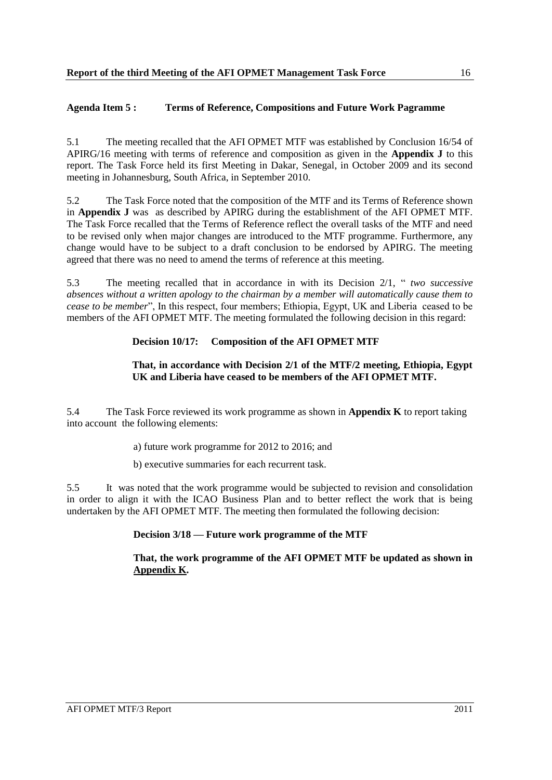# <span id="page-20-0"></span>**Agenda Item 5 : Terms of Reference, Compositions and Future Work Pagramme**

5.1 The meeting recalled that the AFI OPMET MTF was established by Conclusion 16/54 of APIRG/16 meeting with terms of reference and composition as given in the **Appendix J** to this report. The Task Force held its first Meeting in Dakar, Senegal, in October 2009 and its second meeting in Johannesburg, South Africa, in September 2010.

5.2 The Task Force noted that the composition of the MTF and its Terms of Reference shown in **Appendix J** was as described by APIRG during the establishment of the AFI OPMET MTF. The Task Force recalled that the Terms of Reference reflect the overall tasks of the MTF and need to be revised only when major changes are introduced to the MTF programme. Furthermore, any change would have to be subject to a draft conclusion to be endorsed by APIRG. The meeting agreed that there was no need to amend the terms of reference at this meeting.

5.3 The meeting recalled that in accordance in with its Decision 2/1, " *two successive absences without a written apology to the chairman by a member will automatically cause them to cease to be member*", In this respect, four members; Ethiopia, Egypt, UK and Liberia ceased to be members of the AFI OPMET MTF. The meeting formulated the following decision in this regard:

# **Decision 10/17: Composition of the AFI OPMET MTF**

#### **That, in accordance with Decision 2/1 of the MTF/2 meeting, Ethiopia, Egypt UK and Liberia have ceased to be members of the AFI OPMET MTF.**

5.4 The Task Force reviewed its work programme as shown in **Appendix K** to report taking into account the following elements:

- a) future work programme for 2012 to 2016; and
- b) executive summaries for each recurrent task.

5.5 It was noted that the work programme would be subjected to revision and consolidation in order to align it with the ICAO Business Plan and to better reflect the work that is being undertaken by the AFI OPMET MTF. The meeting then formulated the following decision:

# **Decision 3/18 — Future work programme of the MTF**

**That, the work programme of the AFI OPMET MTF be updated as shown in Appendix K.**